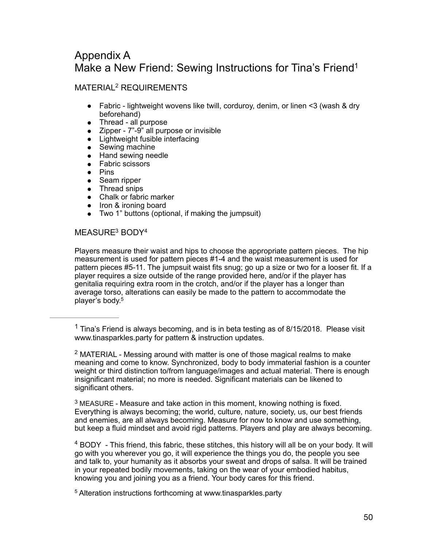# Appendix A Make a New Friend: Sewing Instructions for Tina's Friend<sup>1</sup>

# MATERIAL<sup>[2](#page-0-1)</sup> REQUIREMENTS

- <span id="page-0-6"></span><span id="page-0-5"></span>● Fabric - lightweight wovens like twill, corduroy, denim, or linen <3 (wash & dry beforehand)
- Thread all purpose
- Zipper 7"-9" all purpose or invisible
- Lightweight fusible interfacing
- Sewing machine<br>● Hand sewing nee
- Hand sewing needle
- Fabric scissors
- Pins
- Seam ripper
- Thread snips
- Chalk or fabric marker
- Iron & ironing board
- <span id="page-0-8"></span><span id="page-0-7"></span>● Two 1" buttons (optional, if making the jumpsuit)

# MEASUR[E3](#page-0-2) BOD[Y4](#page-0-3)

Players measure their waist and hips to choose the appropriate pattern pieces. The hip measurement is used for pattern pieces #1-4 and the waist measurement is used for pattern pieces #5-11. The jumpsuit waist fits snug; go up a size or two for a looser fit. If a player requires a size outside of the range provided here, and/or if the player has genitalia requiring extra room in the crotch, and/or if the player has a longer than average torso, alterations can easily be made to the pattern to accommodate the player's body[.](#page-0-4) [5](#page-0-4)

<span id="page-0-2"></span> $3$  MEASURE - Measure and take action in this moment, knowing nothing is fixed. Everything is always becoming; the world, culture, nature, society, us, our best friends and enemies, are all always becoming. Measure for now to know and use something, but keep a fluid mindset and avoid rigid patterns. Players and play are always becoming.

<span id="page-0-3"></span> $4$  BODY - This friend, this fabric, these stitches, this history will all be on your body. It will go with you wherever you go, it will experience the things you do, the people you see and talk to, your humanity as it absorbs your sweat and drops of salsa. It will be trained in your repeated bodily movements, taking on the wear of your embodied habitus, knowing you and joining you as a friend. Your body cares for this friend.

<span id="page-0-4"></span><sup>[5](#page-0-9)</sup> Alteration instructions forthcoming at www.tinasparkles.party

<span id="page-0-9"></span><span id="page-0-0"></span><sup>&</sup>lt;sup>[1](#page-0-5)</sup> Tina's Friend is always becoming, and is in beta testing as of 8/15/2018. Please visit www.tinasparkles.party for pattern & instruction updates.

<span id="page-0-1"></span><sup>&</sup>lt;sup>[2](#page-0-6)</sup> MATERIAL - Messing around with matter is one of those magical realms to make meaning and come to know. Synchronized, body to body immaterial fashion is a counter weight or third distinction to/from language/images and actual material. There is enough insignificant material; no more is needed. Significant materials can be likened to significant others.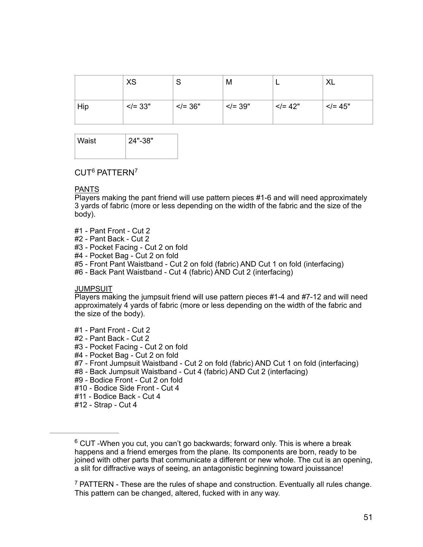|     | <b>XS</b>    | J              | M            | -            | ∧∟           |
|-----|--------------|----------------|--------------|--------------|--------------|
| Hip | $\le$ /= 33" | $  \lt$ /= 36" | $\le$ /= 39" | $\le$ /= 42" | $\le$ /= 45" |

| Waist | 24"-38" |  |  |
|-------|---------|--|--|
|       |         |  |  |

### <span id="page-1-3"></span><span id="page-1-2"></span>CUT[6](#page-1-0) PATTERN[7](#page-1-1)

#### PANTS

Players making the pant friend will use pattern pieces #1-6 and will need approximately 3 yards of fabric (more or less depending on the width of the fabric and the size of the body).

- #1 Pant Front Cut 2
- #2 Pant Back Cut 2
- #3 Pocket Facing Cut 2 on fold
- #4 Pocket Bag Cut 2 on fold
- #5 Front Pant Waistband Cut 2 on fold (fabric) AND Cut 1 on fold (interfacing)
- #6 Back Pant Waistband Cut 4 (fabric) AND Cut 2 (interfacing)

#### JUMPSUIT

Players making the jumpsuit friend will use pattern pieces #1-4 and #7-12 and will need approximately 4 yards of fabric (more or less depending on the width of the fabric and the size of the body).

- #1 Pant Front Cut 2
- #2 Pant Back Cut 2
- #3 Pocket Facing Cut 2 on fold
- #4 Pocket Bag Cut 2 on fold
- #7 Front Jumpsuit Waistband Cut 2 on fold (fabric) AND Cut 1 on fold (interfacing)
- #8 Back Jumpsuit Waistband Cut 4 (fabric) AND Cut 2 (interfacing)
- #9 Bodice Front Cut 2 on fold
- #10 Bodice Side Front Cut 4
- #11 Bodice Back Cut 4
- #12 Strap Cut 4

<span id="page-1-1"></span> $\overline{P}$  PATTERN - These are the rules of shape and construction. Eventually all rules change. This pattern can be changed, altered, fucked with in any way.

<span id="page-1-0"></span> $6$  CUT -When you cut, you can't go backwards; forward only. This is where a break happens and a friend emerges from the plane. Its components are born, ready to be joined with other parts that communicate a different or new whole. The cut is an opening, a slit for diffractive ways of seeing, an antagonistic beginning toward jouissance!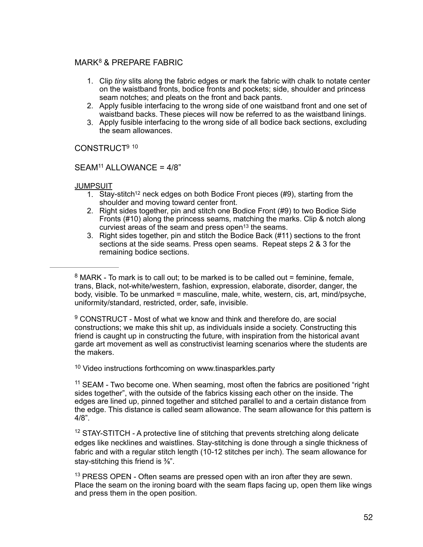### MARK<sup>[8](#page-2-0)</sup> & PREPARE FABRIC

- <span id="page-2-6"></span>1. Clip *tiny* slits along the fabric edges or mark the fabric with chalk to notate center on the waistband fronts, bodice fronts and pockets; side, shoulder and princess seam notches; and pleats on the front and back pants.
- 2. Apply fusible interfacing to the wrong side of one waistband front and one set of waistband backs. These pieces will now be referred to as the waistband linings.
- <span id="page-2-8"></span><span id="page-2-7"></span>3. Apply fusible interfacing to the wrong side of all bodice back sections, excluding the seam allowances.

CONSTRUC[T9](#page-2-1) [10](#page-2-2)

#### $SEAM<sup>11</sup> ALLOWANCE =  $4/8$$  $SEAM<sup>11</sup> ALLOWANCE =  $4/8$$  $SEAM<sup>11</sup> ALLOWANCE =  $4/8$$  $SEAM<sup>11</sup> ALLOWANCE =  $4/8$$  $SEAM<sup>11</sup> ALLOWANCE =  $4/8$$

#### JUMPSUIT

- <span id="page-2-10"></span><span id="page-2-9"></span>1. Stay-stitch<sup>12</sup> neck edges on bot[h](#page-2-4) Bodice Front pieces (#9), starting from the shoulder and moving toward center front.
- 2. Right sides together, pin and stitch one Bodice Front (#9) to two Bodice Side Fronts (#10) along the princess seams, matching the marks. Clip & notch along curviest areas of the seam and press open<sup>[13](#page-2-5)</sup> the seams.
- <span id="page-2-11"></span>3. Right sides together, pin and stitch the Bodice Back (#11) sections to the front sections at the side seams. Press open seams. Repeat steps 2 & 3 for the remaining bodice sections.

<span id="page-2-0"></span> $8$  MARK - To mark is to call out; to be marked is to be called out = feminine, female, trans, Black, not-white/western, fashion, expression, elaborate, disorder, danger, the body, visible. To be unmarked = masculine, male, white, western, cis, art, mind/psyche, uniformity/standard, restricted, order, safe, invisible.

<span id="page-2-1"></span> $9$  CONSTRUCT - Most of what we know and think and therefore do, are social constructions; we make this shit up, as individuals inside a society. Constructing this friend is caught up in constructing the future, with inspiration from the historical avant garde art movement as well as constructivist learning scenarios where the students are the makers.

<span id="page-2-2"></span><sup>[10](#page-2-8)</sup> Video instructions forthcoming on www.tinasparkles.party

<span id="page-2-3"></span><sup>[11](#page-2-9)</sup> SEAM - Two become one. When seaming, most often the fabrics are positioned "right sides together", with the outside of the fabrics kissing each other on the inside. The edges are lined up, pinned together and stitched parallel to and a certain distance from the edge. This distance is called seam allowance. The seam allowance for this pattern is 4/8".

<span id="page-2-4"></span> $12$  STAY-STITCH - A protective line of stitching that prevents stretching along delicate edges like necklines and waistlines. Stay-stitching is done through a single thickness of fabric and with a regular stitch length (10-12 stitches per inch). The seam allowance for stay-stitching this friend is <sup>3</sup>/<sub>8</sub><sup>"</sup>.

<span id="page-2-5"></span> $13$  PRESS OPEN - Often seams are pressed open with an iron after they are sewn. Place the seam on the ironing board with the seam flaps facing up, open them like wings and press them in the open position.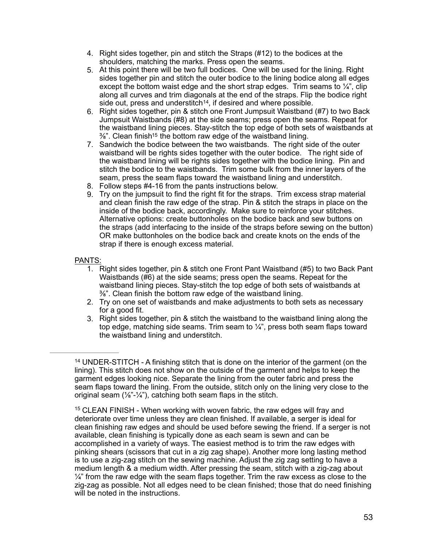- 4. Right sides together, pin and stitch the Straps (#12) to the bodices at the shoulders, matching the marks. Press open the seams.
- 5. At this point there will be two full bodices. One will be used for the lining. Right sides together pin and stitch the outer bodice to the lining bodice along all edges except the bottom waist edge and the short strap edges. Trim seams to  $\frac{1}{4}$ , clip along all curves and trim diagonals at the end of the straps. Flip the bodice right side out, press and understitch<sup> $14$ </sup>, if desired and where possible.
- <span id="page-3-2"></span>6. Right sides together, pin & stitch one Front Jumpsuit Waistband (#7) to two Back Jumpsuit Waistbands (#8) at the side seams; press open the seams. Repeat for the waistband lining pieces. Stay-stitch the top edge of both sets of waistbands at  $\frac{3}{8}$ ". Clean finish<sup>15</sup> the bottom raw edge of the waistband lining.
- <span id="page-3-3"></span>7. Sandwich the bodice between the two waistbands. The right side of the outer waistband will be rights sides together with the outer bodice. The right side of the waistband lining will be rights sides together with the bodice lining. Pin and stitch the bodice to the waistbands. Trim some bulk from the inner layers of the seam, press the seam flaps toward the waistband lining and understitch.
- 8. Follow steps #4-16 from the pants instructions below.
- 9. Try on the jumpsuit to find the right fit for the straps. Trim excess strap material and clean finish the raw edge of the strap. Pin & stitch the straps in place on the inside of the bodice back, accordingly. Make sure to reinforce your stitches. Alternative options: create buttonholes on the bodice back and sew buttons on the straps (add interfacing to the inside of the straps before sewing on the button) OR make buttonholes on the bodice back and create knots on the ends of the strap if there is enough excess material.

#### PANTS:

- 1. Right sides together, pin & stitch one Front Pant Waistband (#5) to two Back Pant Waistbands (#6) at the side seams; press open the seams. Repeat for the waistband lining pieces. Stay-stitch the top edge of both sets of waistbands at ⅜". Clean finish the bottom raw edge of the waistband lining.
- 2. Try on one set of waistbands and make adjustments to both sets as necessary for a good fit.
- 3. Right sides together, pin & stitch the waistband to the waistband lining along the top edge, matching side seams. Trim seam to  $\frac{1}{4}$ , press both seam flaps toward the waistband lining and understitch.

<span id="page-3-0"></span><sup>&</sup>lt;sup>[14](#page-3-2)</sup> UNDER-STITCH - A finishing stitch that is done on the interior of the garment (on the lining). This stitch does not show on the outside of the garment and helps to keep the garment edges looking nice. Separate the lining from the outer fabric and press the seam flaps toward the lining. From the outside, stitch only on the lining very close to the original seam  $(\frac{1}{8} - \frac{1}{4})$ , catching both seam flaps in the stitch.

<span id="page-3-1"></span> $15$  CLEAN FINISH - When working with woven fabric, the raw edges will fray and deteriorate over time unless they are clean finished. If available, a serger is ideal for clean finishing raw edges and should be used before sewing the friend. If a serger is not available, clean finishing is typically done as each seam is sewn and can be accomplished in a variety of ways. The easiest method is to trim the raw edges with pinking shears (scissors that cut in a zig zag shape). Another more long lasting method is to use a zig-zag stitch on the sewing machine. Adjust the zig zag setting to have a medium length & a medium width. After pressing the seam, stitch with a zig-zag about  $\frac{1}{4}$ " from the raw edge with the seam flaps together. Trim the raw excess as close to the zig-zag as possible. Not all edges need to be clean finished; those that do need finishing will be noted in the instructions.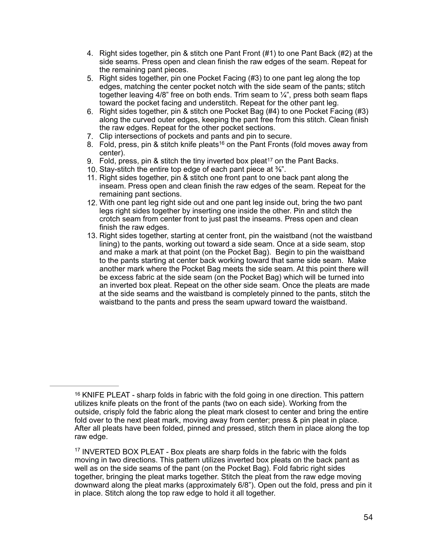- 4. Right sides together, pin & stitch one Pant Front (#1) to one Pant Back (#2) at the side seams. Press open and clean finish the raw edges of the seam. Repeat for the remaining pant pieces.
- 5. Right sides together, pin one Pocket Facing (#3) to one pant leg along the top edges, matching the center pocket notch with the side seam of the pants; stitch together leaving 4/8" free on both ends. Trim seam to  $\frac{1}{4}$ ", press both seam flaps toward the pocket facing and understitch. Repeat for the other pant leg.
- 6. Right sides together, pin & stitch one Pocket Bag (#4) to one Pocket Facing (#3) along the curved outer edges, keeping the pant free from this stitch. Clean finish the raw edges. Repeat for the other pocket sections.
- 7. Clip intersections of pockets and pants and pin to secure.
- <span id="page-4-2"></span>8. Fold, pre[s](#page-4-0)s, pin & stitch knife pleats<sup>[16](#page-4-0)</sup> on the Pant Fronts (fold moves away from center).
- 9.Fold, press, pin & stitch the tiny inverted box pleat<sup>[17](#page-4-1)</sup> on the Pant Backs.
- <span id="page-4-3"></span>10. Stay-stitch the entire top edge of each pant piece at ⅜".
- 11. Right sides together, pin & stitch one front pant to one back pant along the inseam. Press open and clean finish the raw edges of the seam. Repeat for the remaining pant sections.
- 12. With one pant leg right side out and one pant leg inside out, bring the two pant legs right sides together by inserting one inside the other. Pin and stitch the crotch seam from center front to just past the inseams. Press open and clean finish the raw edges.
- 13. Right sides together, starting at center front, pin the waistband (not the waistband lining) to the pants, working out toward a side seam. Once at a side seam, stop and make a mark at that point (on the Pocket Bag). Begin to pin the waistband to the pants starting at center back working toward that same side seam. Make another mark where the Pocket Bag meets the side seam. At this point there will be excess fabric at the side seam (on the Pocket Bag) which will be turned into an inverted box pleat. Repeat on the other side seam. Once the pleats are made at the side seams and the waistband is completely pinned to the pants, stitch the waistband to the pants and press the seam upward toward the waistband.

<span id="page-4-0"></span> $16$  KNIFE PLEAT - sharp folds in fabric with the fold going in one direction. This pattern utilizes knife pleats on the front of the pants (two on each side). Working from the outside, crisply fold the fabric along the pleat mark closest to center and bring the entire fold over to the next pleat mark, moving away from center; press & pin pleat in place. After all pleats have been folded, pinned and pressed, stitch them in place along the top raw edge.

<span id="page-4-1"></span> $17$  INVERTED BOX PLEAT - Box pleats are sharp folds in the fabric with the folds moving in two directions. This pattern utilizes inverted box pleats on the back pant as well as on the side seams of the pant (on the Pocket Bag). Fold fabric right sides together, bringing the pleat marks together. Stitch the pleat from the raw edge moving downward along the pleat marks (approximately 6/8"). Open out the fold, press and pin it in place. Stitch along the top raw edge to hold it all together.